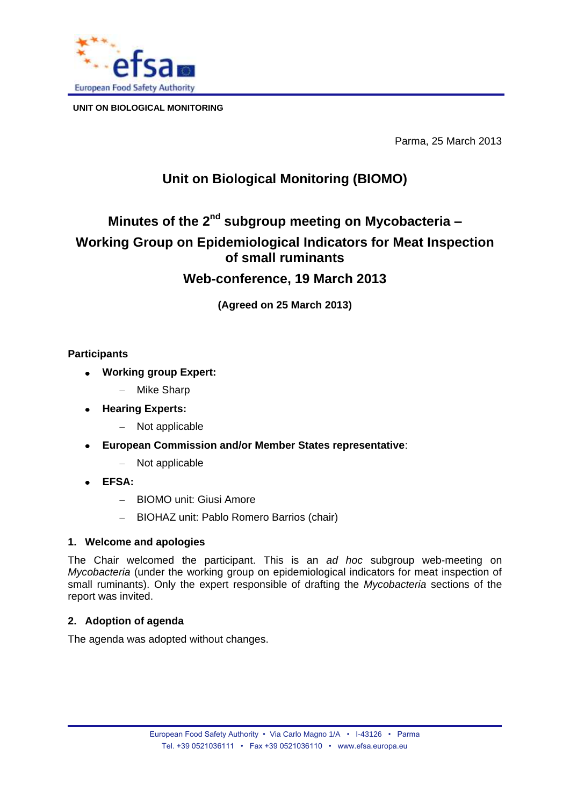

**UNIT ON BIOLOGICAL MONITORING**

Parma, 25 March 2013

# **Unit on Biological Monitoring (BIOMO)**

# **Minutes of the 2<sup>nd</sup> subgroup meeting on Mycobacteria -Working Group on Epidemiological Indicators for Meat Inspection of small ruminants**

# **Web-conference, 19 March 2013**

**(Agreed on 25 March 2013)**

# **Participants**

- **Working group Expert:**
	- Mike Sharp
- **Hearing Experts:**
	- Not applicable
- **European Commission and/or Member States representative**:  $\bullet$ 
	- Not applicable
- **EFSA:**
	- BIOMO unit: Giusi Amore
	- BIOHAZ unit: Pablo Romero Barrios (chair)

# **1. Welcome and apologies**

The Chair welcomed the participant. This is an *ad hoc* subgroup web-meeting on *Mycobacteria* (under the working group on epidemiological indicators for meat inspection of small ruminants). Only the expert responsible of drafting the *Mycobacteria* sections of the report was invited.

# **2. Adoption of agenda**

The agenda was adopted without changes.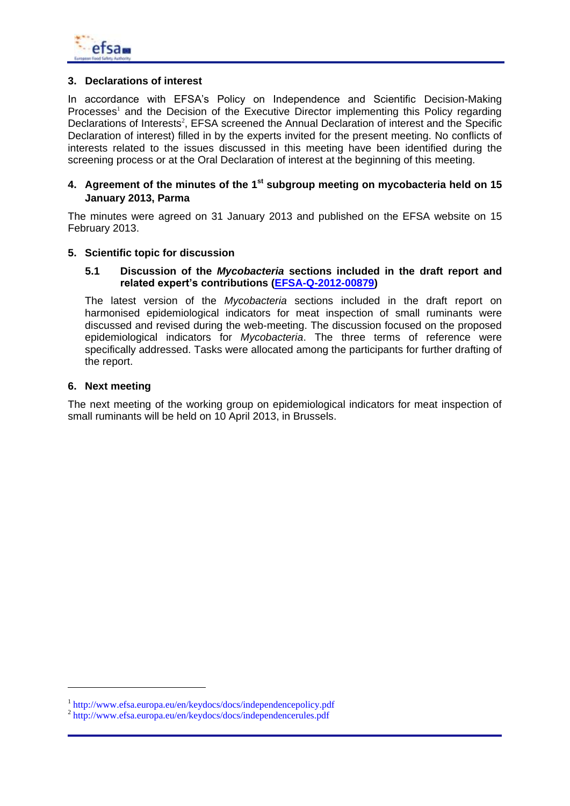

### **3. Declarations of interest**

In accordance with EFSA's Policy on Independence and Scientific Decision-Making  $P$ rocesses<sup>1</sup> and the Decision of the Executive Director implementing this Policy regarding Declarations of Interests<sup>2</sup>, EFSA screened the Annual Declaration of interest and the Specific Declaration of interest) filled in by the experts invited for the present meeting. No conflicts of interests related to the issues discussed in this meeting have been identified during the screening process or at the Oral Declaration of interest at the beginning of this meeting.

#### **4. Agreement of the minutes of the 1 st subgroup meeting on mycobacteria held on 15 January 2013, Parma**

The minutes were agreed on 31 January 2013 and published on the EFSA website on 15 February 2013.

#### **5. Scientific topic for discussion**

#### **5.1 Discussion of the** *Mycobacteria* **sections included in the draft report and related expert's contributions [\(EFSA-Q-2012-00879\)](http://registerofquestions.efsa.europa.eu/roqFrontend/login)**

The latest version of the *Mycobacteria* sections included in the draft report on harmonised epidemiological indicators for meat inspection of small ruminants were discussed and revised during the web-meeting. The discussion focused on the proposed epidemiological indicators for *Mycobacteria*. The three terms of reference were specifically addressed. Tasks were allocated among the participants for further drafting of the report.

#### **6. Next meeting**

-

The next meeting of the working group on epidemiological indicators for meat inspection of small ruminants will be held on 10 April 2013, in Brussels.

<sup>&</sup>lt;sup>1</sup> http://www.efsa.europa.eu/en/keydocs/docs/independencepolicy.pdf

<sup>2</sup> http://www.efsa.europa.eu/en/keydocs/docs/independencerules.pdf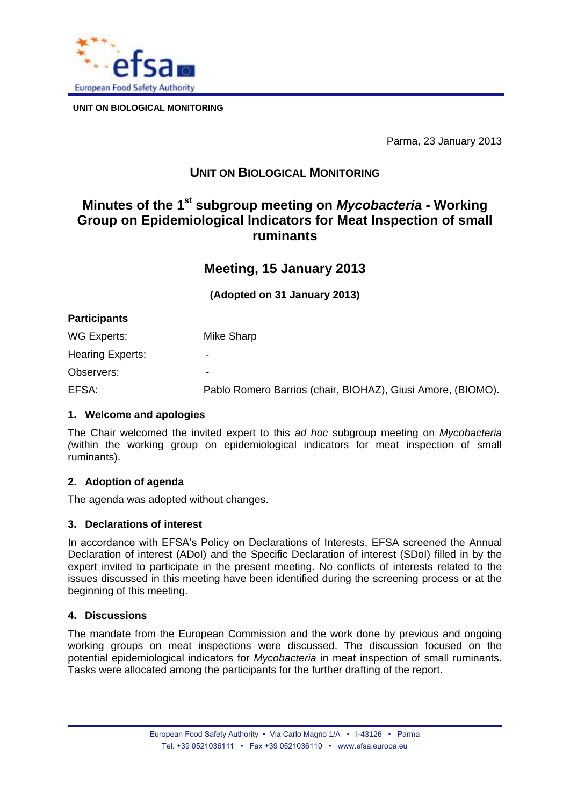

**UNIT ON BIOLOGICAL MONITORING**

Parma, 23 January 2013

# **UNIT ON BIOLOGICAL MONITORING**

# **Minutes of the 1 st subgroup meeting on** *Mycobacteria* **- Working Group on Epidemiological Indicators for Meat Inspection of small ruminants**

# **Meeting, 15 January 2013**

**(Adopted on 31 January 2013)** 

| <b>Participants</b> |                                                             |
|---------------------|-------------------------------------------------------------|
| WG Experts:         | Mike Sharp                                                  |
| Hearing Experts:    | ۰                                                           |
| Observers:          | -                                                           |
| EFSA:               | Pablo Romero Barrios (chair, BIOHAZ), Giusi Amore, (BIOMO). |

### **1. Welcome and apologies**

The Chair welcomed the invited expert to this *ad hoc* subgroup meeting on *Mycobacteria (*within the working group on epidemiological indicators for meat inspection of small ruminants).

### **2. Adoption of agenda**

The agenda was adopted without changes.

### **3. Declarations of interest**

In accordance with EFSA's Policy on Declarations of Interests, EFSA screened the Annual Declaration of interest (ADoI) and the Specific Declaration of interest (SDoI) filled in by the expert invited to participate in the present meeting. No conflicts of interests related to the issues discussed in this meeting have been identified during the screening process or at the beginning of this meeting.

### **4. Discussions**

The mandate from the European Commission and the work done by previous and ongoing working groups on meat inspections were discussed. The discussion focused on the potential epidemiological indicators for *Mycobacteria* in meat inspection of small ruminants. Tasks were allocated among the participants for the further drafting of the report.